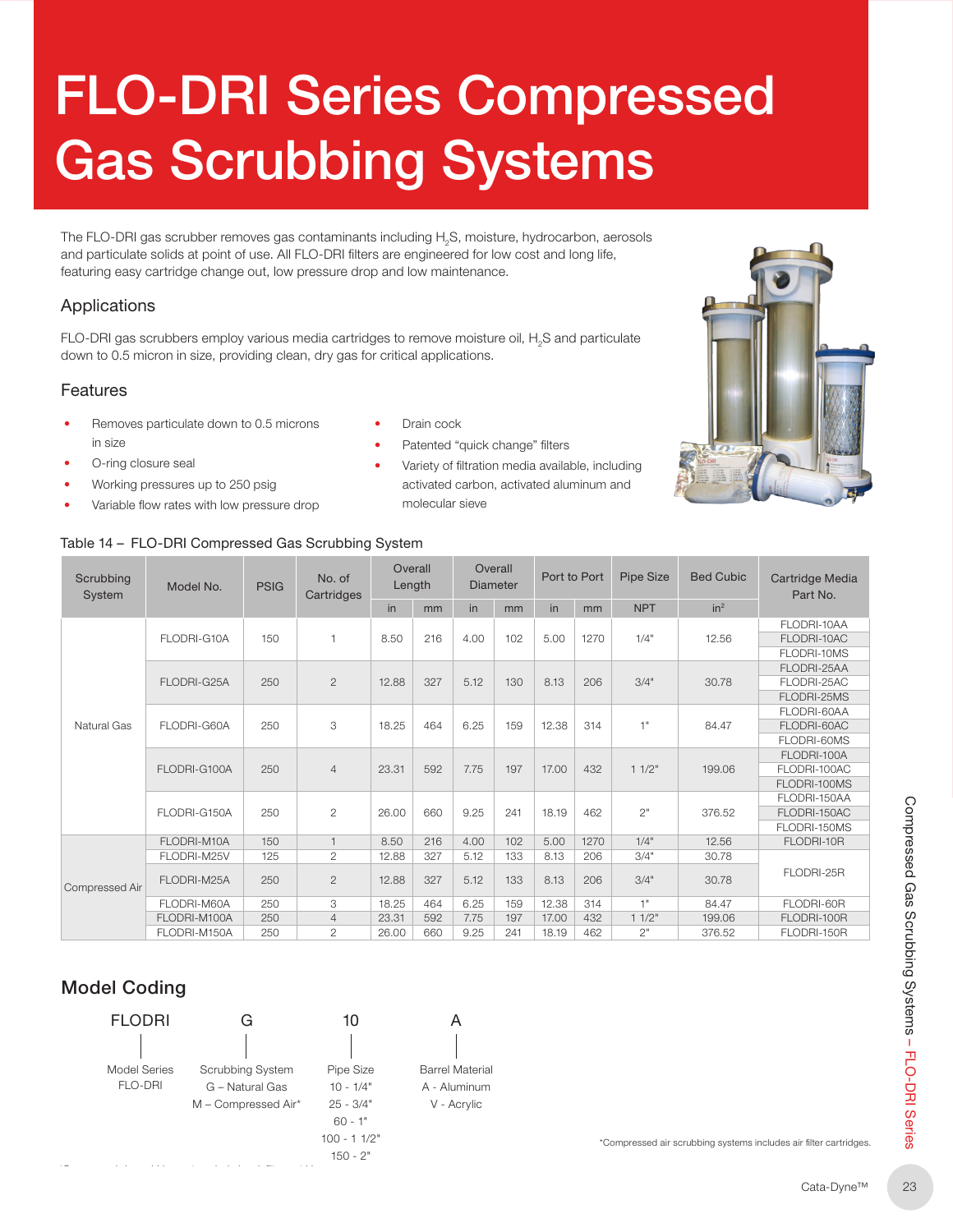# FLO-DRI Series Compressed Gas Scrubbing Systems

The FLO-DRI gas scrubber removes gas contaminants including  $\rm H_{2}S$ , moisture, hydrocarbon, aerosols and particulate solids at point of use. All FLO-DRI filters are engineered for low cost and long life, featuring easy cartridge change out, low pressure drop and low maintenance.

#### Applications

FLO-DRI gas scrubbers employ various media cartridges to remove moisture oil,  $H_2$ S and particulate down to 0.5 micron in size, providing clean, dry gas for critical applications.

#### Features

- Removes particulate down to 0.5 microns in size
- O-ring closure seal
- Working pressures up to 250 psig
- Variable flow rates with low pressure drop

#### Table 14 – FLO-DRL Compressed Gas Scrubbing System

| $\bullet$ | Drain cock                                       |
|-----------|--------------------------------------------------|
| $\bullet$ | Patented "quick change" filters                  |
| $\bullet$ | Variety of filtration media available, including |
|           | activated carbon, activated aluminum and         |

molecular sieve



| Scrubbing<br>System | Model No.           | <b>PSIG</b>             | No. of<br>Cartridges | Overall<br>Length          |     | Overall<br><b>Diameter</b>  |     | Port to Port |      | Pipe Size  | <b>Bed Cubic</b> | Cartridge Media<br>Part No.                                       |
|---------------------|---------------------|-------------------------|----------------------|----------------------------|-----|-----------------------------|-----|--------------|------|------------|------------------|-------------------------------------------------------------------|
|                     |                     |                         |                      | in                         | mm  | in                          | mm  | in           | mm   | <b>NPT</b> | in <sup>2</sup>  |                                                                   |
|                     |                     |                         |                      |                            |     |                             |     |              |      |            |                  | FLODRI-10AA                                                       |
|                     | FLODRI-G10A         | 150                     | $\mathbf{1}$         | 8.50                       | 216 | 4.00                        | 102 | 5.00         | 1270 | 1/4"       | 12.56            | FLODRI-10AC                                                       |
|                     |                     |                         |                      |                            |     |                             |     |              |      |            |                  | FLODRI-10MS                                                       |
|                     | FLODRI-G25A         | 250                     | $\mathbf{2}$         | 12.88                      | 327 |                             |     | 8.13         | 206  | 3/4"       | 30.78            | FLODRI-25AA                                                       |
|                     |                     |                         |                      |                            |     | 5.12                        | 130 |              |      |            |                  | FLODRI-25AC                                                       |
|                     |                     |                         |                      |                            |     |                             |     |              |      |            |                  | FLODRI-25MS                                                       |
|                     |                     | 250                     | 3                    | 18.25                      | 464 |                             | 159 | 12.38        | 314  | 1"         | 84.47            | FLODRI-60AA                                                       |
| Natural Gas         | FLODRI-G60A         |                         |                      |                            |     | 6.25                        |     |              |      |            |                  | FLODRI-60AC                                                       |
|                     |                     |                         |                      |                            |     |                             |     |              |      |            |                  | FLODRI-60MS                                                       |
|                     |                     | 250                     | $\overline{4}$       | 23.31                      | 592 | 7.75                        | 197 | 17.00        | 432  | 11/2"      | 199.06           | FLODRI-100A                                                       |
|                     | FLODRI-G100A        |                         |                      |                            |     |                             |     |              |      |            |                  | FLODRI-100AC                                                      |
|                     |                     |                         |                      |                            |     |                             |     |              |      |            |                  | FLODRI-100MS                                                      |
|                     |                     |                         |                      | 26.00                      | 660 |                             |     |              |      | 2"         | 376.52           | FLODRI-150AA                                                      |
|                     | FLODRI-G150A        | 250                     | $\mathbf{2}$         |                            |     | 9.25                        | 241 | 18.19        | 462  |            |                  | FLODRI-150AC                                                      |
| Compressed Air      |                     |                         |                      |                            |     |                             |     |              |      |            |                  | FLODRI-150MS                                                      |
|                     | FLODRI-M10A         | 150                     | $\mathbf{1}$         | 8.50                       | 216 | 4.00                        | 102 | 5.00         | 1270 | 1/4"       | 12.56            | FLODRI-10R                                                        |
|                     | FLODRI-M25V         | 125                     | $\overline{c}$       | 12.88                      | 327 | 5.12                        | 133 | 8.13         | 206  | 3/4"       | 30.78            | FLODRI-25R                                                        |
|                     | FLODRI-M25A         | 250                     | $\mathbf{2}$         | 12.88                      | 327 | 5.12                        | 133 | 8.13         | 206  | 3/4"       | 30.78            |                                                                   |
|                     | FLODRI-M60A         | 250                     | 3                    | 18.25                      | 464 | 6.25                        | 159 | 12.38        | 314  | 1"         | 84.47            | FLODRI-60R                                                        |
|                     | FLODRI-M100A        | 250                     | $\overline{4}$       | 23.31                      | 592 | 7.75                        | 197 | 17.00        | 432  | 11/2"      | 199.06           | FLODRI-100R                                                       |
|                     | FLODRI-M150A        | 250                     | $\overline{2}$       | 26.00                      | 660 | 9.25                        | 241 | 18.19        | 462  | 2"         | 376.52           | FLODRI-150R                                                       |
| <b>Model Coding</b> |                     |                         |                      |                            |     |                             |     |              |      |            |                  |                                                                   |
| <b>FLODRI</b>       |                     | G                       | 10                   |                            |     | A                           |     |              |      |            |                  |                                                                   |
|                     |                     |                         |                      |                            |     |                             |     |              |      |            |                  |                                                                   |
|                     |                     |                         |                      |                            |     |                             |     |              |      |            |                  |                                                                   |
| <b>Model Series</b> |                     | <b>Scrubbing System</b> | Pipe Size            |                            |     | <b>Barrel Material</b>      |     |              |      |            |                  |                                                                   |
| <b>FLO-DRI</b>      | G - Natural Gas     |                         |                      | $10 - 1/4"$<br>$25 - 3/4"$ |     | A - Aluminum<br>V - Acrylic |     |              |      |            |                  |                                                                   |
|                     | M - Compressed Air* |                         |                      |                            |     |                             |     |              |      |            |                  |                                                                   |
|                     |                     |                         | $60 - 1"$            |                            |     |                             |     |              |      |            |                  |                                                                   |
|                     |                     |                         | $100 - 11/2"$        |                            |     |                             |     |              |      |            |                  |                                                                   |
|                     |                     |                         |                      |                            |     |                             |     |              |      |            |                  | *Compressed air scrubbing systems includes air filter cartridges. |
|                     |                     |                         | $150 - 2"$           |                            |     |                             |     |              |      |            |                  |                                                                   |
|                     |                     |                         |                      |                            |     |                             |     |              |      |            |                  | Cata-Dyne™                                                        |
|                     |                     |                         |                      |                            |     |                             |     |              |      |            |                  |                                                                   |

### Model Coding